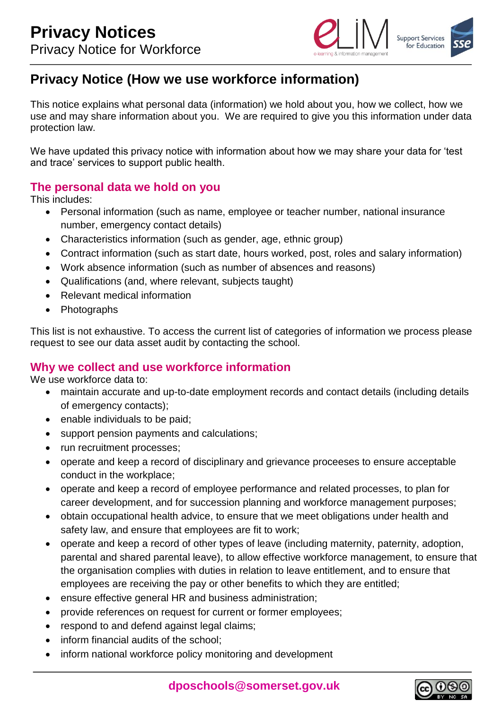

# **Privacy Notice (How we use workforce information)**

This notice explains what personal data (information) we hold about you, how we collect, how we use and may share information about you. We are required to give you this information under data protection law.

We have updated this privacy notice with information about how we may share your data for 'test and trace' services to support public health.

#### **The personal data we hold on you**

This includes:

- Personal information (such as name, employee or teacher number, national insurance number, emergency contact details)
- Characteristics information (such as gender, age, ethnic group)
- Contract information (such as start date, hours worked, post, roles and salary information)
- Work absence information (such as number of absences and reasons)
- Qualifications (and, where relevant, subjects taught)
- Relevant medical information
- Photographs

This list is not exhaustive. To access the current list of categories of information we process please request to see our data asset audit by contacting the school.

#### **Why we collect and use workforce information**

We use workforce data to:

- maintain accurate and up-to-date employment records and contact details (including details of emergency contacts);
- enable individuals to be paid;
- support pension payments and calculations;
- run recruitment processes:
- operate and keep a record of disciplinary and grievance proceeses to ensure acceptable conduct in the workplace;
- operate and keep a record of employee performance and related processes, to plan for career development, and for succession planning and workforce management purposes;
- obtain occupational health advice, to ensure that we meet obligations under health and safety law, and ensure that employees are fit to work;
- operate and keep a record of other types of leave (including maternity, paternity, adoption, parental and shared parental leave), to allow effective workforce management, to ensure that the organisation complies with duties in relation to leave entitlement, and to ensure that employees are receiving the pay or other benefits to which they are entitled;
- ensure effective general HR and business administration;
- provide references on request for current or former employees;
- respond to and defend against legal claims;
- inform financial audits of the school:
- inform national workforce policy monitoring and development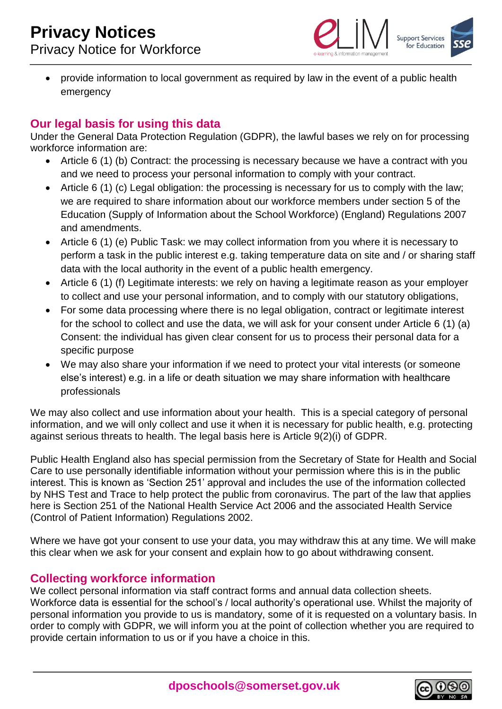

 provide information to local government as required by law in the event of a public health emergency

## **Our legal basis for using this data**

Under the General Data Protection Regulation (GDPR), the lawful bases we rely on for processing workforce information are:

- Article 6 (1) (b) Contract: the processing is necessary because we have a contract with you and we need to process your personal information to comply with your contract.
- Article 6 (1) (c) Legal obligation: the processing is necessary for us to comply with the law; we are required to share information about our workforce members under section 5 of the Education (Supply of Information about the School Workforce) (England) Regulations 2007 and amendments.
- Article 6 (1) (e) Public Task: we may collect information from you where it is necessary to perform a task in the public interest e.g. taking temperature data on site and / or sharing staff data with the local authority in the event of a public health emergency.
- Article 6 (1) (f) Legitimate interests: we rely on having a legitimate reason as your employer to collect and use your personal information, and to comply with our statutory obligations,
- For some data processing where there is no legal obligation, contract or legitimate interest for the school to collect and use the data, we will ask for your consent under Article 6 (1) (a) Consent: the individual has given clear consent for us to process their personal data for a specific purpose
- We may also share your information if we need to protect your vital interests (or someone else's interest) e.g. in a life or death situation we may share information with healthcare professionals

We may also collect and use information about your health. This is a special category of personal information, and we will only collect and use it when it is necessary for public health, e.g. protecting against serious threats to health. The legal basis here is Article 9(2)(i) of GDPR.

Public Health England also has special permission from the Secretary of State for Health and Social Care to use personally identifiable information without your permission where this is in the public interest. This is known as 'Section 251' approval and includes the use of the information collected by NHS Test and Trace to help protect the public from coronavirus. The part of the law that applies here is Section 251 of the National Health Service Act 2006 and the associated Health Service (Control of Patient Information) Regulations 2002.

Where we have got your consent to use your data, you may withdraw this at any time. We will make this clear when we ask for your consent and explain how to go about withdrawing consent.

## **Collecting workforce information**

We collect personal information via staff contract forms and annual data collection sheets. Workforce data is essential for the school's / local authority's operational use. Whilst the majority of personal information you provide to us is mandatory, some of it is requested on a voluntary basis. In order to comply with GDPR, we will inform you at the point of collection whether you are required to provide certain information to us or if you have a choice in this.

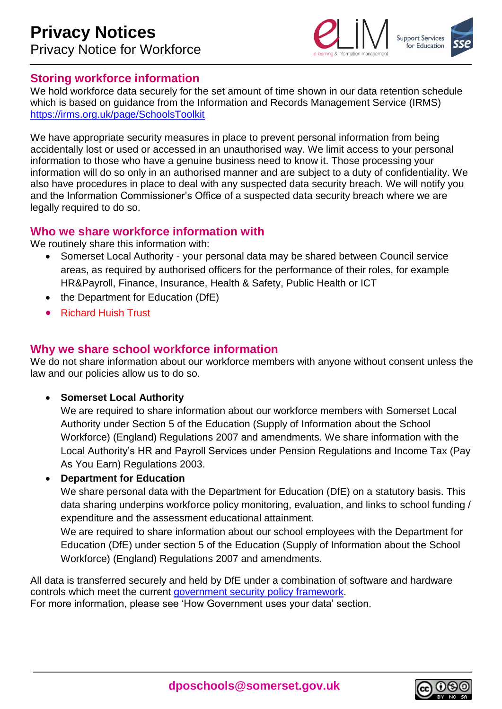

#### **Storing workforce information**

We hold workforce data securely for the set amount of time shown in our data retention schedule which is based on guidance from the Information and Records Management Service (IRMS) <https://irms.org.uk/page/SchoolsToolkit>

We have appropriate security measures in place to prevent personal information from being accidentally lost or used or accessed in an unauthorised way. We limit access to your personal information to those who have a genuine business need to know it. Those processing your information will do so only in an authorised manner and are subject to a duty of confidentiality. We also have procedures in place to deal with any suspected data security breach. We will notify you and the Information Commissioner's Office of a suspected data security breach where we are legally required to do so.

#### **Who we share workforce information with**

We routinely share this information with:

- Somerset Local Authority your personal data may be shared between Council service areas, as required by authorised officers for the performance of their roles, for example HR&Payroll, Finance, Insurance, Health & Safety, Public Health or ICT
- the Department for Education (DfE)
- Richard Huish Trust

## **Why we share school workforce information**

We do not share information about our workforce members with anyone without consent unless the law and our policies allow us to do so.

**Somerset Local Authority**

We are required to share information about our workforce members with Somerset Local Authority under Section 5 of the Education (Supply of Information about the School Workforce) (England) Regulations 2007 and amendments. We share information with the Local Authority's HR and Payroll Services under Pension Regulations and Income Tax (Pay As You Earn) Regulations 2003.

#### **Department for Education**

We share personal data with the Department for Education (DfE) on a statutory basis. This data sharing underpins workforce policy monitoring, evaluation, and links to school funding / expenditure and the assessment educational attainment.

We are required to share information about our school employees with the Department for Education (DfE) under section 5 of the Education (Supply of Information about the School Workforce) (England) Regulations 2007 and amendments.

All data is transferred securely and held by DfE under a combination of software and hardware controls which meet the current [government security policy framework.](https://www.gov.uk/government/publications/security-policy-framework)



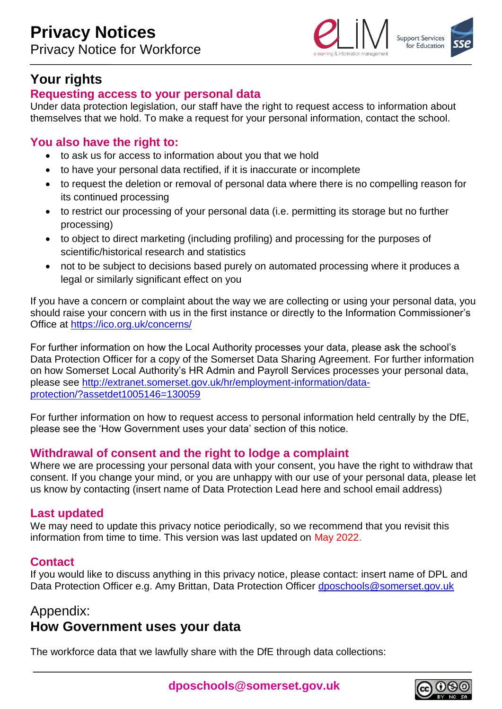

## **Your rights**

#### **Requesting access to your personal data**

Under data protection legislation, our staff have the right to request access to information about themselves that we hold. To make a request for your personal information, contact the school.

## **You also have the right to:**

- to ask us for access to information about you that we hold
- to have your personal data rectified, if it is inaccurate or incomplete
- to request the deletion or removal of personal data where there is no compelling reason for its continued processing
- to restrict our processing of your personal data (i.e. permitting its storage but no further processing)
- to object to direct marketing (including profiling) and processing for the purposes of scientific/historical research and statistics
- not to be subject to decisions based purely on automated processing where it produces a legal or similarly significant effect on you

If you have a concern or complaint about the way we are collecting or using your personal data, you should raise your concern with us in the first instance or directly to the Information Commissioner's Office at<https://ico.org.uk/concerns/>

For further information on how the Local Authority processes your data, please ask the school's Data Protection Officer for a copy of the Somerset Data Sharing Agreement. For further information on how Somerset Local Authority's HR Admin and Payroll Services processes your personal data, please see [http://extranet.somerset.gov.uk/hr/employment-information/data](http://extranet.somerset.gov.uk/hr/employment-information/data-protection/?assetdet1005146=130059)[protection/?assetdet1005146=130059](http://extranet.somerset.gov.uk/hr/employment-information/data-protection/?assetdet1005146=130059)

For further information on how to request access to personal information held centrally by the DfE, please see the 'How Government uses your data' section of this notice.

#### **Withdrawal of consent and the right to lodge a complaint**

Where we are processing your personal data with your consent, you have the right to withdraw that consent. If you change your mind, or you are unhappy with our use of your personal data, please let us know by contacting (insert name of Data Protection Lead here and school email address)

#### **Last updated**

We may need to update this privacy notice periodically, so we recommend that you revisit this information from time to time. This version was last updated on May 2022.

#### **Contact**

If you would like to discuss anything in this privacy notice, please contact: insert name of DPL and Data Protection Officer e.g. Amy Brittan, Data Protection Officer [dposchools@somerset.gov.uk](mailto:dposchools@somerset.gov.uk)

## Appendix: **How Government uses your data**

The workforce data that we lawfully share with the DfE through data collections: